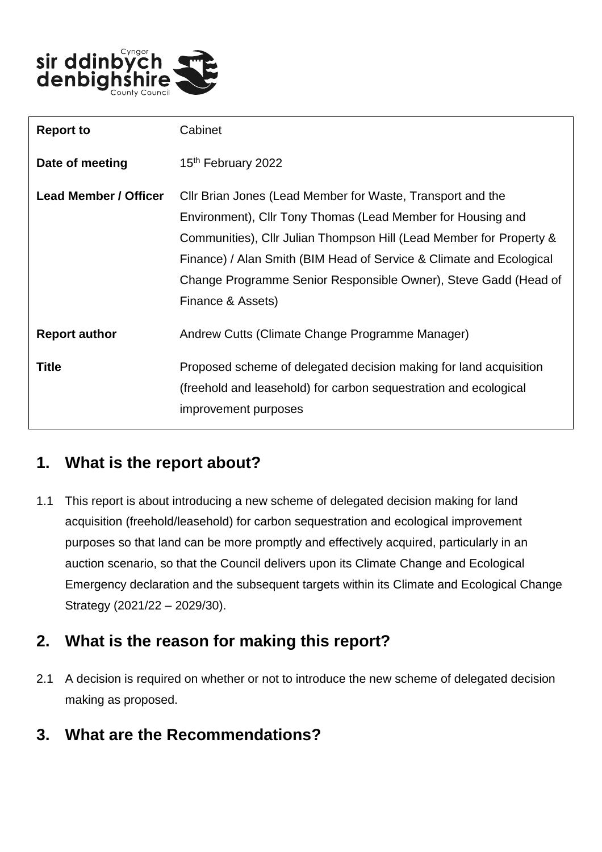

| <b>Report to</b>             | Cabinet                                                                                                                                                                                                                                                                                                                                                         |
|------------------------------|-----------------------------------------------------------------------------------------------------------------------------------------------------------------------------------------------------------------------------------------------------------------------------------------------------------------------------------------------------------------|
| Date of meeting              | 15th February 2022                                                                                                                                                                                                                                                                                                                                              |
| <b>Lead Member / Officer</b> | Cllr Brian Jones (Lead Member for Waste, Transport and the<br>Environment), Cllr Tony Thomas (Lead Member for Housing and<br>Communities), Cllr Julian Thompson Hill (Lead Member for Property &<br>Finance) / Alan Smith (BIM Head of Service & Climate and Ecological<br>Change Programme Senior Responsible Owner), Steve Gadd (Head of<br>Finance & Assets) |
| <b>Report author</b>         | Andrew Cutts (Climate Change Programme Manager)                                                                                                                                                                                                                                                                                                                 |
| <b>Title</b>                 | Proposed scheme of delegated decision making for land acquisition<br>(freehold and leasehold) for carbon sequestration and ecological<br>improvement purposes                                                                                                                                                                                                   |

## **1. What is the report about?**

1.1 This report is about introducing a new scheme of delegated decision making for land acquisition (freehold/leasehold) for carbon sequestration and ecological improvement purposes so that land can be more promptly and effectively acquired, particularly in an auction scenario, so that the Council delivers upon its Climate Change and Ecological Emergency declaration and the subsequent targets within its Climate and Ecological Change Strategy (2021/22 – 2029/30).

## **2. What is the reason for making this report?**

2.1 A decision is required on whether or not to introduce the new scheme of delegated decision making as proposed.

## **3. What are the Recommendations?**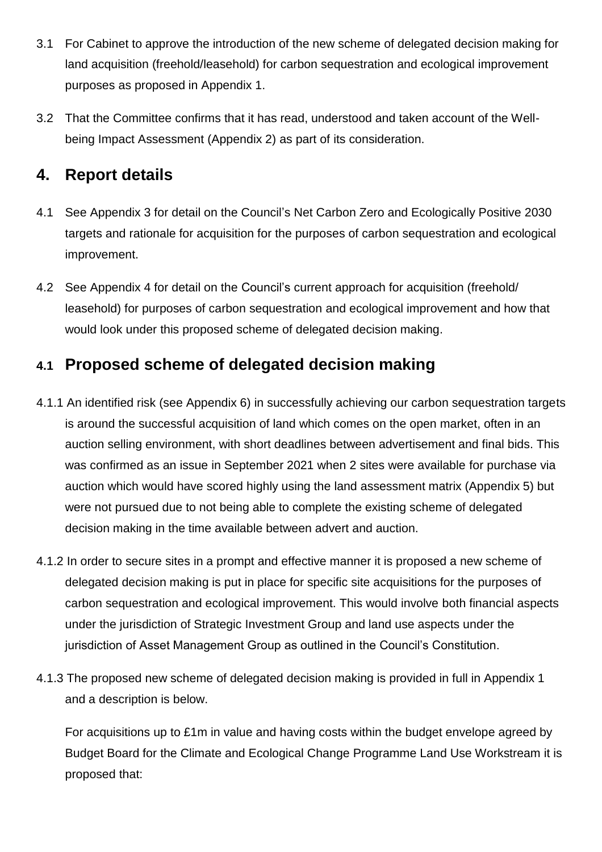- 3.1 For Cabinet to approve the introduction of the new scheme of delegated decision making for land acquisition (freehold/leasehold) for carbon sequestration and ecological improvement purposes as proposed in Appendix 1.
- 3.2 That the Committee confirms that it has read, understood and taken account of the Wellbeing Impact Assessment (Appendix 2) as part of its consideration.

### **4. Report details**

- 4.1 See Appendix 3 for detail on the Council's Net Carbon Zero and Ecologically Positive 2030 targets and rationale for acquisition for the purposes of carbon sequestration and ecological improvement.
- 4.2 See Appendix 4 for detail on the Council's current approach for acquisition (freehold/ leasehold) for purposes of carbon sequestration and ecological improvement and how that would look under this proposed scheme of delegated decision making.

## **4.1 Proposed scheme of delegated decision making**

- 4.1.1 An identified risk (see Appendix 6) in successfully achieving our carbon sequestration targets is around the successful acquisition of land which comes on the open market, often in an auction selling environment, with short deadlines between advertisement and final bids. This was confirmed as an issue in September 2021 when 2 sites were available for purchase via auction which would have scored highly using the land assessment matrix (Appendix 5) but were not pursued due to not being able to complete the existing scheme of delegated decision making in the time available between advert and auction.
- 4.1.2 In order to secure sites in a prompt and effective manner it is proposed a new scheme of delegated decision making is put in place for specific site acquisitions for the purposes of carbon sequestration and ecological improvement. This would involve both financial aspects under the jurisdiction of Strategic Investment Group and land use aspects under the jurisdiction of Asset Management Group as outlined in the Council's Constitution.
- 4.1.3 The proposed new scheme of delegated decision making is provided in full in Appendix 1 and a description is below.

For acquisitions up to £1m in value and having costs within the budget envelope agreed by Budget Board for the Climate and Ecological Change Programme Land Use Workstream it is proposed that: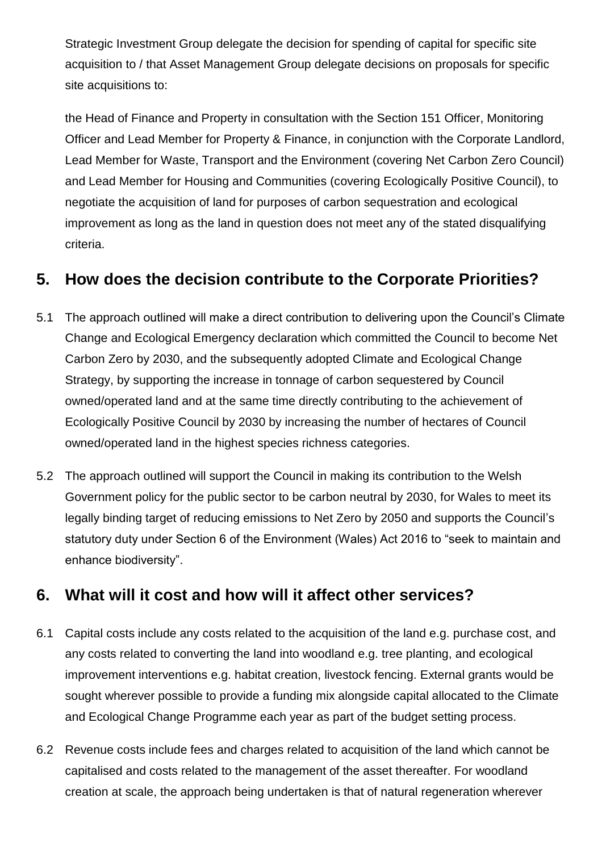Strategic Investment Group delegate the decision for spending of capital for specific site acquisition to / that Asset Management Group delegate decisions on proposals for specific site acquisitions to:

the Head of Finance and Property in consultation with the Section 151 Officer, Monitoring Officer and Lead Member for Property & Finance, in conjunction with the Corporate Landlord, Lead Member for Waste, Transport and the Environment (covering Net Carbon Zero Council) and Lead Member for Housing and Communities (covering Ecologically Positive Council), to negotiate the acquisition of land for purposes of carbon sequestration and ecological improvement as long as the land in question does not meet any of the stated disqualifying criteria.

#### **5. How does the decision contribute to the Corporate Priorities?**

- 5.1 The approach outlined will make a direct contribution to delivering upon the Council's Climate Change and Ecological Emergency declaration which committed the Council to become Net Carbon Zero by 2030, and the subsequently adopted Climate and Ecological Change Strategy, by supporting the increase in tonnage of carbon sequestered by Council owned/operated land and at the same time directly contributing to the achievement of Ecologically Positive Council by 2030 by increasing the number of hectares of Council owned/operated land in the highest species richness categories.
- 5.2 The approach outlined will support the Council in making its contribution to the Welsh Government policy for the public sector to be carbon neutral by 2030, for Wales to meet its legally binding target of reducing emissions to Net Zero by 2050 and supports the Council's statutory duty under Section 6 of the Environment (Wales) Act 2016 to "seek to maintain and enhance biodiversity".

#### **6. What will it cost and how will it affect other services?**

- 6.1 Capital costs include any costs related to the acquisition of the land e.g. purchase cost, and any costs related to converting the land into woodland e.g. tree planting, and ecological improvement interventions e.g. habitat creation, livestock fencing. External grants would be sought wherever possible to provide a funding mix alongside capital allocated to the Climate and Ecological Change Programme each year as part of the budget setting process.
- 6.2 Revenue costs include fees and charges related to acquisition of the land which cannot be capitalised and costs related to the management of the asset thereafter. For woodland creation at scale, the approach being undertaken is that of natural regeneration wherever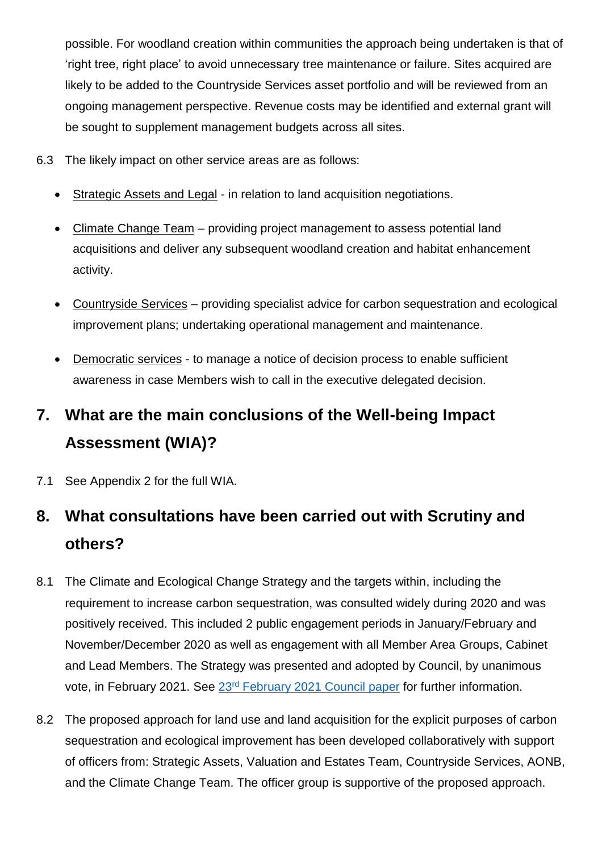possible. For woodland creation within communities the approach being undertaken is that of 'right tree, right place' to avoid unnecessary tree maintenance or failure. Sites acquired are likely to be added to the Countryside Services asset portfolio and will be reviewed from an ongoing management perspective. Revenue costs may be identified and external grant will be sought to supplement management budgets across all sites.

- 6.3 The likely impact on other service areas are as follows:
	- Strategic Assets and Legal in relation to land acquisition negotiations.
	- Climate Change Team providing project management to assess potential land acquisitions and deliver any subsequent woodland creation and habitat enhancement activity.
	- Countryside Services providing specialist advice for carbon sequestration and ecological improvement plans; undertaking operational management and maintenance.
	- Democratic services to manage a notice of decision process to enable sufficient awareness in case Members wish to call in the executive delegated decision.

# **7. What are the main conclusions of the Well-being Impact Assessment (WIA)?**

7.1 See Appendix 2 for the full WIA.

# **8. What consultations have been carried out with Scrutiny and others?**

- 8.1 The Climate and Ecological Change Strategy and the targets within, including the requirement to increase carbon sequestration, was consulted widely during 2020 and was positively received. This included 2 public engagement periods in January/February and November/December 2020 as well as engagement with all Member Area Groups, Cabinet and Lead Members. The Strategy was presented and adopted by Council, by unanimous vote, in February 2021. See 23<sup>rd</sup> [February 2021 Council paper](https://moderngov.denbighshire.gov.uk/ieListDocuments.aspx?CId=134&MId=6303&LLL=0) for further information.
- 8.2 The proposed approach for land use and land acquisition for the explicit purposes of carbon sequestration and ecological improvement has been developed collaboratively with support of officers from: Strategic Assets, Valuation and Estates Team, Countryside Services, AONB, and the Climate Change Team. The officer group is supportive of the proposed approach.